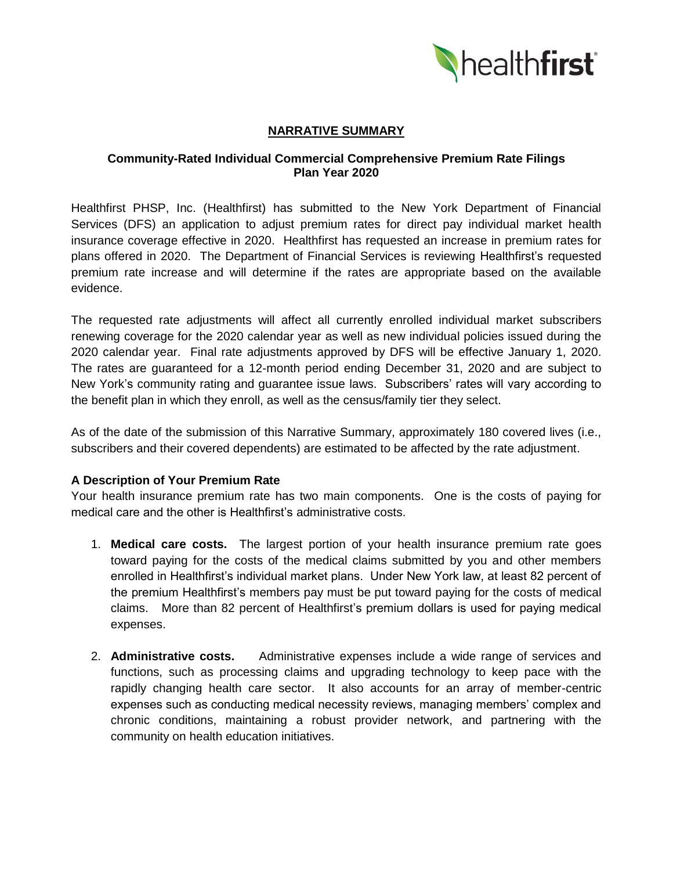

# **NARRATIVE SUMMARY**

### **Community-Rated Individual Commercial Comprehensive Premium Rate Filings Plan Year 2020**

Healthfirst PHSP, Inc. (Healthfirst) has submitted to the New York Department of Financial Services (DFS) an application to adjust premium rates for direct pay individual market health insurance coverage effective in 2020. Healthfirst has requested an increase in premium rates for plans offered in 2020. The Department of Financial Services is reviewing Healthfirst's requested premium rate increase and will determine if the rates are appropriate based on the available evidence.

The requested rate adjustments will affect all currently enrolled individual market subscribers renewing coverage for the 2020 calendar year as well as new individual policies issued during the 2020 calendar year. Final rate adjustments approved by DFS will be effective January 1, 2020. The rates are guaranteed for a 12-month period ending December 31, 2020 and are subject to New York's community rating and guarantee issue laws. Subscribers' rates will vary according to the benefit plan in which they enroll, as well as the census/family tier they select.

As of the date of the submission of this Narrative Summary, approximately 180 covered lives (i.e., subscribers and their covered dependents) are estimated to be affected by the rate adjustment.

### **A Description of Your Premium Rate**

Your health insurance premium rate has two main components. One is the costs of paying for medical care and the other is Healthfirst's administrative costs.

- 1. **Medical care costs.** The largest portion of your health insurance premium rate goes toward paying for the costs of the medical claims submitted by you and other members enrolled in Healthfirst's individual market plans. Under New York law, at least 82 percent of the premium Healthfirst's members pay must be put toward paying for the costs of medical claims. More than 82 percent of Healthfirst's premium dollars is used for paying medical expenses.
- 2. **Administrative costs.** Administrative expenses include a wide range of services and functions, such as processing claims and upgrading technology to keep pace with the rapidly changing health care sector. It also accounts for an array of member-centric expenses such as conducting medical necessity reviews, managing members' complex and chronic conditions, maintaining a robust provider network, and partnering with the community on health education initiatives.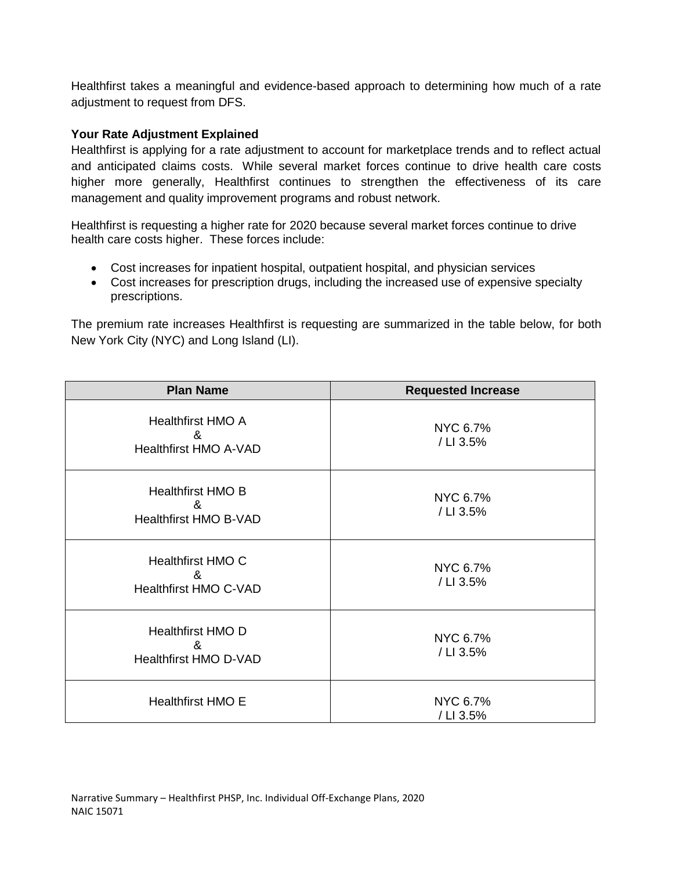Healthfirst takes a meaningful and evidence-based approach to determining how much of a rate adjustment to request from DFS.

# **Your Rate Adjustment Explained**

Healthfirst is applying for a rate adjustment to account for marketplace trends and to reflect actual and anticipated claims costs. While several market forces continue to drive health care costs higher more generally, Healthfirst continues to strengthen the effectiveness of its care management and quality improvement programs and robust network.

Healthfirst is requesting a higher rate for 2020 because several market forces continue to drive health care costs higher. These forces include:

- Cost increases for inpatient hospital, outpatient hospital, and physician services
- Cost increases for prescription drugs, including the increased use of expensive specialty prescriptions.

The premium rate increases Healthfirst is requesting are summarized in the table below, for both New York City (NYC) and Long Island (LI).

| <b>Plan Name</b>                                                                       | <b>Requested Increase</b> |
|----------------------------------------------------------------------------------------|---------------------------|
| <b>Healthfirst HMO A</b><br>&<br><b>Healthfirst HMO A-VAD</b>                          | NYC 6.7%<br>/ LI 3.5%     |
| <b>Healthfirst HMO B</b><br>$\boldsymbol{\mathcal{R}}$<br><b>Healthfirst HMO B-VAD</b> | NYC 6.7%<br>/ LI 3.5%     |
| Healthfirst HMO C<br>&<br><b>Healthfirst HMO C-VAD</b>                                 | NYC 6.7%<br>/ LI 3.5%     |
| <b>Healthfirst HMO D</b><br>&<br>Healthfirst HMO D-VAD                                 | NYC 6.7%<br>/ LI 3.5%     |
| <b>Healthfirst HMO E</b>                                                               | NYC 6.7%<br>/ LI 3.5%     |